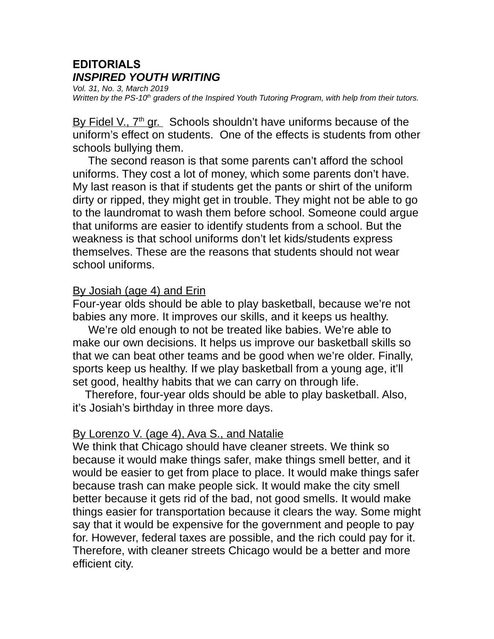# **EDITORIALS** *INSPIRED YOUTH WRITING*

*Vol. 31, No. 3, March 2019 Written by the PS-10th graders of the Inspired Youth Tutoring Program, with help from their tutors.*

By Fidel V., 7<sup>th</sup> gr. Schools shouldn't have uniforms because of the uniform's effect on students. One of the effects is students from other schools bullying them.

 The second reason is that some parents can't afford the school uniforms. They cost a lot of money, which some parents don't have. My last reason is that if students get the pants or shirt of the uniform dirty or ripped, they might get in trouble. They might not be able to go to the laundromat to wash them before school. Someone could argue that uniforms are easier to identify students from a school. But the weakness is that school uniforms don't let kids/students express themselves. These are the reasons that students should not wear school uniforms.

#### By Josiah (age 4) and Erin

Four-year olds should be able to play basketball, because we're not babies any more. It improves our skills, and it keeps us healthy.

 We're old enough to not be treated like babies. We're able to make our own decisions. It helps us improve our basketball skills so that we can beat other teams and be good when we're older. Finally, sports keep us healthy. If we play basketball from a young age, it'll set good, healthy habits that we can carry on through life.

 Therefore, four-year olds should be able to play basketball. Also, it's Josiah's birthday in three more days.

# By Lorenzo V. (age 4), Ava S., and Natalie

We think that Chicago should have cleaner streets. We think so because it would make things safer, make things smell better, and it would be easier to get from place to place. It would make things safer because trash can make people sick. It would make the city smell better because it gets rid of the bad, not good smells. It would make things easier for transportation because it clears the way. Some might say that it would be expensive for the government and people to pay for. However, federal taxes are possible, and the rich could pay for it. Therefore, with cleaner streets Chicago would be a better and more efficient city.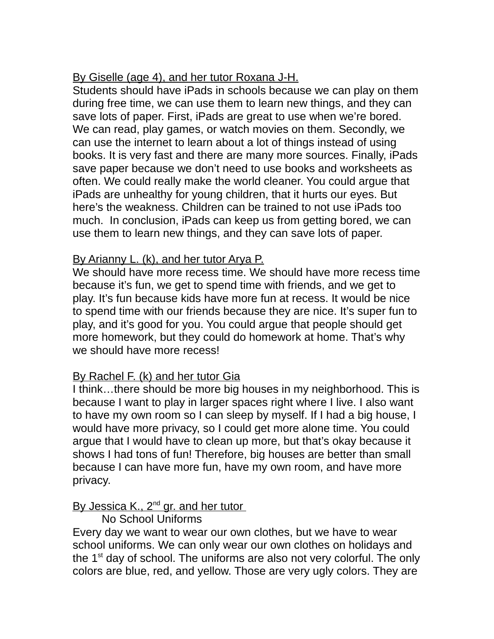# By Giselle (age 4), and her tutor Roxana J-H.

Students should have iPads in schools because we can play on them during free time, we can use them to learn new things, and they can save lots of paper. First, iPads are great to use when we're bored. We can read, play games, or watch movies on them. Secondly, we can use the internet to learn about a lot of things instead of using books. It is very fast and there are many more sources. Finally, iPads save paper because we don't need to use books and worksheets as often. We could really make the world cleaner. You could argue that iPads are unhealthy for young children, that it hurts our eyes. But here's the weakness. Children can be trained to not use iPads too much. In conclusion, iPads can keep us from getting bored, we can use them to learn new things, and they can save lots of paper.

# By Arianny L. (k), and her tutor Arya P.

We should have more recess time. We should have more recess time because it's fun, we get to spend time with friends, and we get to play. It's fun because kids have more fun at recess. It would be nice to spend time with our friends because they are nice. It's super fun to play, and it's good for you. You could argue that people should get more homework, but they could do homework at home. That's why we should have more recess!

# By Rachel F. (k) and her tutor Gia

I think…there should be more big houses in my neighborhood. This is because I want to play in larger spaces right where I live. I also want to have my own room so I can sleep by myself. If I had a big house, I would have more privacy, so I could get more alone time. You could argue that I would have to clean up more, but that's okay because it shows I had tons of fun! Therefore, big houses are better than small because I can have more fun, have my own room, and have more privacy.

# By Jessica K., 2<sup>nd</sup> gr. and her tutor

# No School Uniforms

Every day we want to wear our own clothes, but we have to wear school uniforms. We can only wear our own clothes on holidays and the  $1<sup>st</sup>$  day of school. The uniforms are also not very colorful. The only colors are blue, red, and yellow. Those are very ugly colors. They are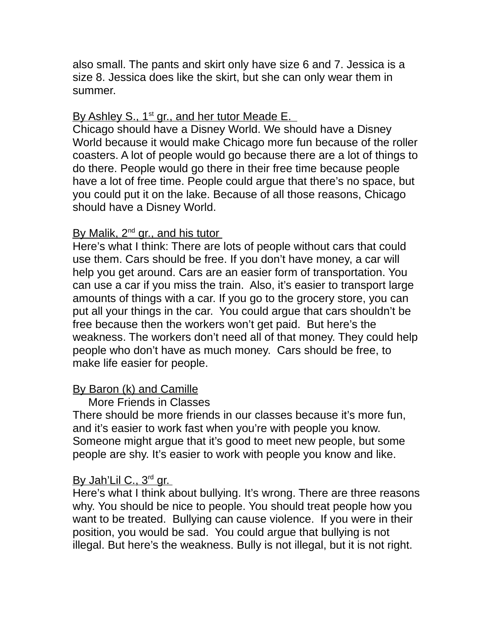also small. The pants and skirt only have size 6 and 7. Jessica is a size 8. Jessica does like the skirt, but she can only wear them in summer.

## By Ashley S., 1<sup>st</sup> gr., and her tutor Meade E.

Chicago should have a Disney World. We should have a Disney World because it would make Chicago more fun because of the roller coasters. A lot of people would go because there are a lot of things to do there. People would go there in their free time because people have a lot of free time. People could argue that there's no space, but you could put it on the lake. Because of all those reasons, Chicago should have a Disney World.

#### By Malik, 2<sup>nd</sup> gr., and his tutor

Here's what I think: There are lots of people without cars that could use them. Cars should be free. If you don't have money, a car will help you get around. Cars are an easier form of transportation. You can use a car if you miss the train. Also, it's easier to transport large amounts of things with a car. If you go to the grocery store, you can put all your things in the car. You could argue that cars shouldn't be free because then the workers won't get paid. But here's the weakness. The workers don't need all of that money. They could help people who don't have as much money. Cars should be free, to make life easier for people.

# By Baron (k) and Camille

#### More Friends in Classes

There should be more friends in our classes because it's more fun, and it's easier to work fast when you're with people you know. Someone might argue that it's good to meet new people, but some people are shy. It's easier to work with people you know and like.

#### By Jah'Lil C., 3<sup>rd</sup> gr.

Here's what I think about bullying. It's wrong. There are three reasons why. You should be nice to people. You should treat people how you want to be treated. Bullying can cause violence. If you were in their position, you would be sad. You could argue that bullying is not illegal. But here's the weakness. Bully is not illegal, but it is not right.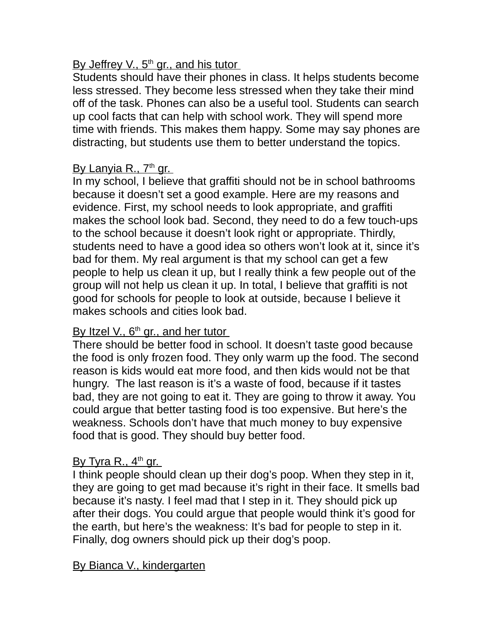# By Jeffrey V., 5<sup>th</sup> gr., and his tutor

Students should have their phones in class. It helps students become less stressed. They become less stressed when they take their mind off of the task. Phones can also be a useful tool. Students can search up cool facts that can help with school work. They will spend more time with friends. This makes them happy. Some may say phones are distracting, but students use them to better understand the topics.

# <u>By Lanyia R., 7<sup>th</sup> gr.</u>

In my school, I believe that graffiti should not be in school bathrooms because it doesn't set a good example. Here are my reasons and evidence. First, my school needs to look appropriate, and graffiti makes the school look bad. Second, they need to do a few touch-ups to the school because it doesn't look right or appropriate. Thirdly, students need to have a good idea so others won't look at it, since it's bad for them. My real argument is that my school can get a few people to help us clean it up, but I really think a few people out of the group will not help us clean it up. In total, I believe that graffiti is not good for schools for people to look at outside, because I believe it makes schools and cities look bad.

# By Itzel V., 6<sup>th</sup> gr., and her tutor

There should be better food in school. It doesn't taste good because the food is only frozen food. They only warm up the food. The second reason is kids would eat more food, and then kids would not be that hungry. The last reason is it's a waste of food, because if it tastes bad, they are not going to eat it. They are going to throw it away. You could argue that better tasting food is too expensive. But here's the weakness. Schools don't have that much money to buy expensive food that is good. They should buy better food.

# <u>By Tyra R., 4<sup>th</sup> gr.</u>

I think people should clean up their dog's poop. When they step in it, they are going to get mad because it's right in their face. It smells bad because it's nasty. I feel mad that I step in it. They should pick up after their dogs. You could argue that people would think it's good for the earth, but here's the weakness: It's bad for people to step in it. Finally, dog owners should pick up their dog's poop.

# By Bianca V., kindergarten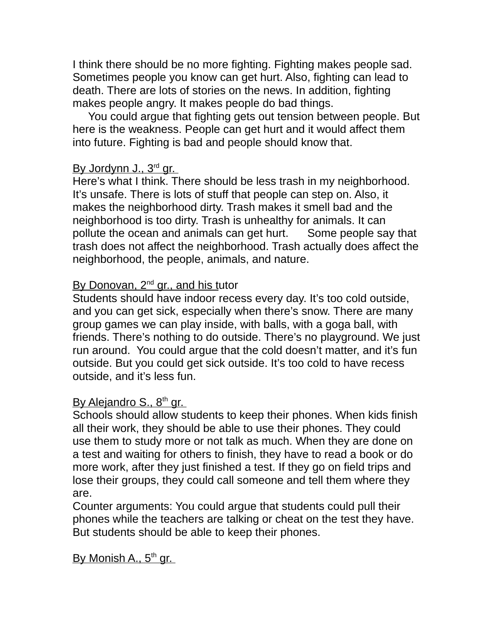I think there should be no more fighting. Fighting makes people sad. Sometimes people you know can get hurt. Also, fighting can lead to death. There are lots of stories on the news. In addition, fighting makes people angry. It makes people do bad things.

 You could argue that fighting gets out tension between people. But here is the weakness. People can get hurt and it would affect them into future. Fighting is bad and people should know that.

# <u>By Jordynn J., 3¤d gr. </u>

Here's what I think. There should be less trash in my neighborhood. It's unsafe. There is lots of stuff that people can step on. Also, it makes the neighborhood dirty. Trash makes it smell bad and the neighborhood is too dirty. Trash is unhealthy for animals. It can pollute the ocean and animals can get hurt. Some people say that trash does not affect the neighborhood. Trash actually does affect the neighborhood, the people, animals, and nature.

# By Donovan, 2<sup>nd</sup> gr., and his tutor

Students should have indoor recess every day. It's too cold outside, and you can get sick, especially when there's snow. There are many group games we can play inside, with balls, with a goga ball, with friends. There's nothing to do outside. There's no playground. We just run around. You could argue that the cold doesn't matter, and it's fun outside. But you could get sick outside. It's too cold to have recess outside, and it's less fun.

# By Alejandro S., 8<sup>th</sup> gr.

Schools should allow students to keep their phones. When kids finish all their work, they should be able to use their phones. They could use them to study more or not talk as much. When they are done on a test and waiting for others to finish, they have to read a book or do more work, after they just finished a test. If they go on field trips and lose their groups, they could call someone and tell them where they are.

Counter arguments: You could argue that students could pull their phones while the teachers are talking or cheat on the test they have. But students should be able to keep their phones.

<u>By Monish A., 5<sup>th</sup> gr. </u>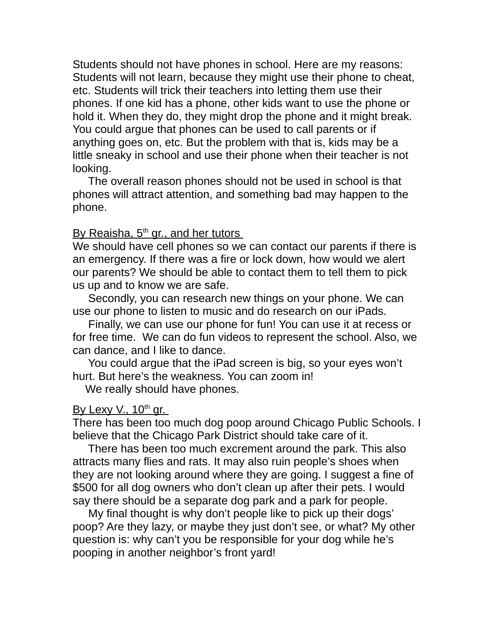Students should not have phones in school. Here are my reasons: Students will not learn, because they might use their phone to cheat, etc. Students will trick their teachers into letting them use their phones. If one kid has a phone, other kids want to use the phone or hold it. When they do, they might drop the phone and it might break. You could argue that phones can be used to call parents or if anything goes on, etc. But the problem with that is, kids may be a little sneaky in school and use their phone when their teacher is not looking.

 The overall reason phones should not be used in school is that phones will attract attention, and something bad may happen to the phone.

#### By Reaisha, 5<sup>th</sup> gr., and her tutors

We should have cell phones so we can contact our parents if there is an emergency. If there was a fire or lock down, how would we alert our parents? We should be able to contact them to tell them to pick us up and to know we are safe.

 Secondly, you can research new things on your phone. We can use our phone to listen to music and do research on our iPads.

 Finally, we can use our phone for fun! You can use it at recess or for free time. We can do fun videos to represent the school. Also, we can dance, and I like to dance.

 You could argue that the iPad screen is big, so your eyes won't hurt. But here's the weakness. You can zoom in!

We really should have phones.

#### By Lexy V., 10<sup>th</sup> gr.

There has been too much dog poop around Chicago Public Schools. I believe that the Chicago Park District should take care of it.

 There has been too much excrement around the park. This also attracts many flies and rats. It may also ruin people's shoes when they are not looking around where they are going. I suggest a fine of \$500 for all dog owners who don't clean up after their pets. I would say there should be a separate dog park and a park for people.

 My final thought is why don't people like to pick up their dogs' poop? Are they lazy, or maybe they just don't see, or what? My other question is: why can't you be responsible for your dog while he's pooping in another neighbor's front yard!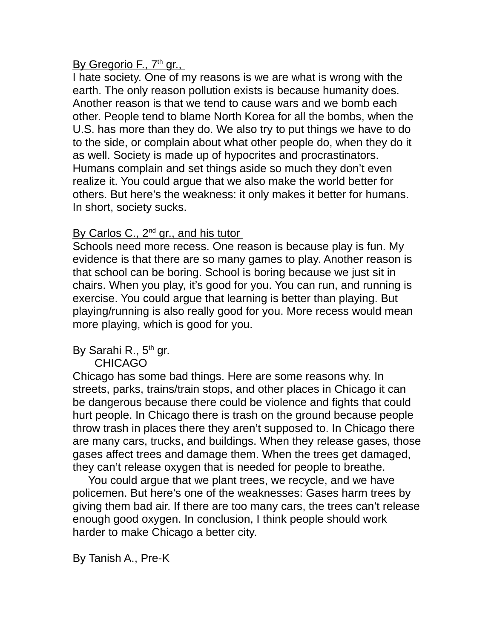## By Gregorio F., 7<sup>th</sup> gr.,

I hate society. One of my reasons is we are what is wrong with the earth. The only reason pollution exists is because humanity does. Another reason is that we tend to cause wars and we bomb each other. People tend to blame North Korea for all the bombs, when the U.S. has more than they do. We also try to put things we have to do to the side, or complain about what other people do, when they do it as well. Society is made up of hypocrites and procrastinators. Humans complain and set things aside so much they don't even realize it. You could argue that we also make the world better for others. But here's the weakness: it only makes it better for humans. In short, society sucks.

## By Carlos C., 2<sup>nd</sup> gr., and his tutor

Schools need more recess. One reason is because play is fun. My evidence is that there are so many games to play. Another reason is that school can be boring. School is boring because we just sit in chairs. When you play, it's good for you. You can run, and running is exercise. You could argue that learning is better than playing. But playing/running is also really good for you. More recess would mean more playing, which is good for you.

# By Sarahi R., 5<sup>th</sup> gr. \_\_\_\_

#### CHICAGO

Chicago has some bad things. Here are some reasons why. In streets, parks, trains/train stops, and other places in Chicago it can be dangerous because there could be violence and fights that could hurt people. In Chicago there is trash on the ground because people throw trash in places there they aren't supposed to. In Chicago there are many cars, trucks, and buildings. When they release gases, those gases affect trees and damage them. When the trees get damaged, they can't release oxygen that is needed for people to breathe.

 You could argue that we plant trees, we recycle, and we have policemen. But here's one of the weaknesses: Gases harm trees by giving them bad air. If there are too many cars, the trees can't release enough good oxygen. In conclusion, I think people should work harder to make Chicago a better city.

# By Tanish A., Pre-K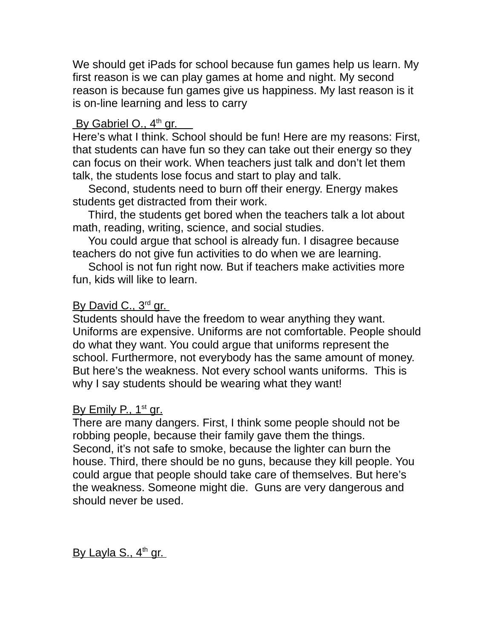We should get iPads for school because fun games help us learn. My first reason is we can play games at home and night. My second reason is because fun games give us happiness. My last reason is it is on-line learning and less to carry

# By Gabriel O., 4<sup>th</sup> gr.

Here's what I think. School should be fun! Here are my reasons: First, that students can have fun so they can take out their energy so they can focus on their work. When teachers just talk and don't let them talk, the students lose focus and start to play and talk.

 Second, students need to burn off their energy. Energy makes students get distracted from their work.

 Third, the students get bored when the teachers talk a lot about math, reading, writing, science, and social studies.

 You could argue that school is already fun. I disagree because teachers do not give fun activities to do when we are learning.

 School is not fun right now. But if teachers make activities more fun, kids will like to learn.

# By David C., 3<sup>rd</sup> gr.

Students should have the freedom to wear anything they want. Uniforms are expensive. Uniforms are not comfortable. People should do what they want. You could argue that uniforms represent the school. Furthermore, not everybody has the same amount of money. But here's the weakness. Not every school wants uniforms. This is why I say students should be wearing what they want!

# By Emily P., 1<sup>st</sup> gr.

There are many dangers. First, I think some people should not be robbing people, because their family gave them the things. Second, it's not safe to smoke, because the lighter can burn the house. Third, there should be no guns, because they kill people. You could argue that people should take care of themselves. But here's the weakness. Someone might die. Guns are very dangerous and should never be used.

<u>By Layla S., 4<sup>th</sup> gr.</u>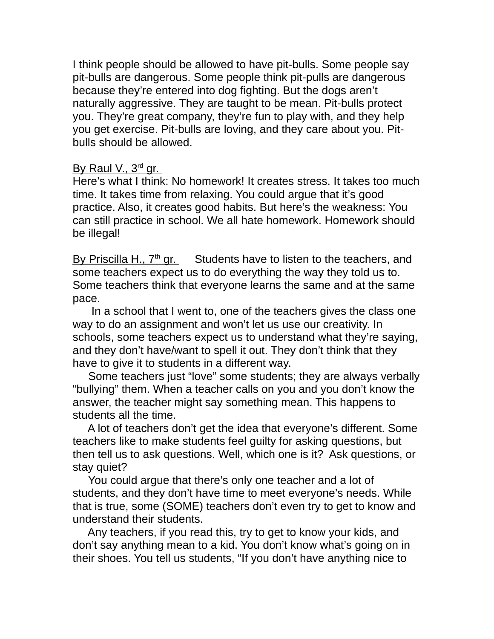I think people should be allowed to have pit-bulls. Some people say pit-bulls are dangerous. Some people think pit-pulls are dangerous because they're entered into dog fighting. But the dogs aren't naturally aggressive. They are taught to be mean. Pit-bulls protect you. They're great company, they're fun to play with, and they help you get exercise. Pit-bulls are loving, and they care about you. Pitbulls should be allowed.

#### By Raul V., 3<sup>rd</sup> gr.

Here's what I think: No homework! It creates stress. It takes too much time. It takes time from relaxing. You could argue that it's good practice. Also, it creates good habits. But here's the weakness: You can still practice in school. We all hate homework. Homework should be illegal!

By Priscilla H.,  $7<sup>th</sup>$  gr. Students have to listen to the teachers, and some teachers expect us to do everything the way they told us to. Some teachers think that everyone learns the same and at the same pace.

 In a school that I went to, one of the teachers gives the class one way to do an assignment and won't let us use our creativity. In schools, some teachers expect us to understand what they're saying, and they don't have/want to spell it out. They don't think that they have to give it to students in a different way.

 Some teachers just "love" some students; they are always verbally "bullying" them. When a teacher calls on you and you don't know the answer, the teacher might say something mean. This happens to students all the time.

 A lot of teachers don't get the idea that everyone's different. Some teachers like to make students feel guilty for asking questions, but then tell us to ask questions. Well, which one is it? Ask questions, or stay quiet?

 You could argue that there's only one teacher and a lot of students, and they don't have time to meet everyone's needs. While that is true, some (SOME) teachers don't even try to get to know and understand their students.

 Any teachers, if you read this, try to get to know your kids, and don't say anything mean to a kid. You don't know what's going on in their shoes. You tell us students, "If you don't have anything nice to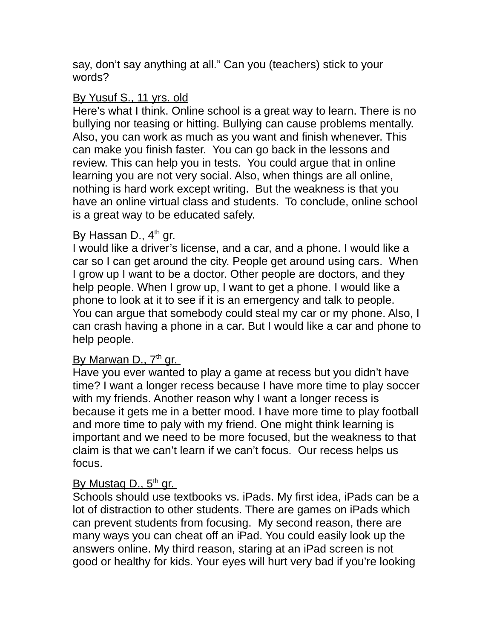say, don't say anything at all." Can you (teachers) stick to your words?

#### By Yusuf S., 11 yrs. old

Here's what I think. Online school is a great way to learn. There is no bullying nor teasing or hitting. Bullying can cause problems mentally. Also, you can work as much as you want and finish whenever. This can make you finish faster. You can go back in the lessons and review. This can help you in tests. You could argue that in online learning you are not very social. Also, when things are all online, nothing is hard work except writing. But the weakness is that you have an online virtual class and students. To conclude, online school is a great way to be educated safely.

## <u>By Hassan D., 4<sup>th</sup> gr. </u>

I would like a driver's license, and a car, and a phone. I would like a car so I can get around the city. People get around using cars. When I grow up I want to be a doctor. Other people are doctors, and they help people. When I grow up, I want to get a phone. I would like a phone to look at it to see if it is an emergency and talk to people. You can argue that somebody could steal my car or my phone. Also, I can crash having a phone in a car. But I would like a car and phone to help people.

#### <u>By Marwan D., 7<sup>th</sup> gr. </u>

Have you ever wanted to play a game at recess but you didn't have time? I want a longer recess because I have more time to play soccer with my friends. Another reason why I want a longer recess is because it gets me in a better mood. I have more time to play football and more time to paly with my friend. One might think learning is important and we need to be more focused, but the weakness to that claim is that we can't learn if we can't focus. Our recess helps us focus.

#### <u>By Mustaq D., 5<sup>th</sup> gr. </u>

Schools should use textbooks vs. iPads. My first idea, iPads can be a lot of distraction to other students. There are games on iPads which can prevent students from focusing. My second reason, there are many ways you can cheat off an iPad. You could easily look up the answers online. My third reason, staring at an iPad screen is not good or healthy for kids. Your eyes will hurt very bad if you're looking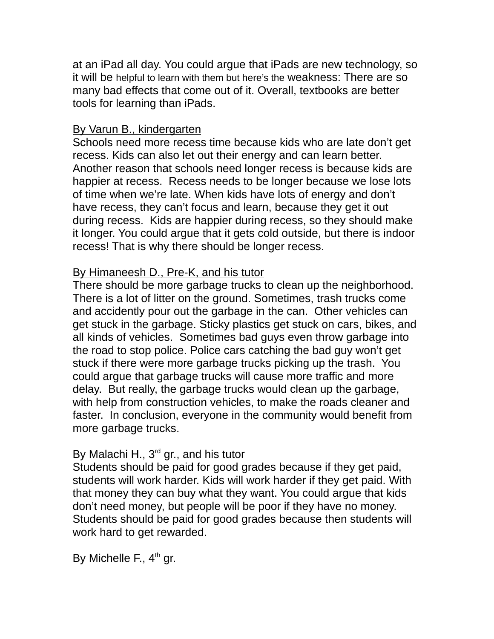at an iPad all day. You could argue that iPads are new technology, so it will be helpful to learn with them but here's the weakness: There are so many bad effects that come out of it. Overall, textbooks are better tools for learning than iPads.

#### By Varun B., kindergarten

Schools need more recess time because kids who are late don't get recess. Kids can also let out their energy and can learn better. Another reason that schools need longer recess is because kids are happier at recess. Recess needs to be longer because we lose lots of time when we're late. When kids have lots of energy and don't have recess, they can't focus and learn, because they get it out during recess. Kids are happier during recess, so they should make it longer. You could argue that it gets cold outside, but there is indoor recess! That is why there should be longer recess.

# By Himaneesh D., Pre-K, and his tutor

There should be more garbage trucks to clean up the neighborhood. There is a lot of litter on the ground. Sometimes, trash trucks come and accidently pour out the garbage in the can. Other vehicles can get stuck in the garbage. Sticky plastics get stuck on cars, bikes, and all kinds of vehicles. Sometimes bad guys even throw garbage into the road to stop police. Police cars catching the bad guy won't get stuck if there were more garbage trucks picking up the trash. You could argue that garbage trucks will cause more traffic and more delay. But really, the garbage trucks would clean up the garbage, with help from construction vehicles, to make the roads cleaner and faster. In conclusion, everyone in the community would benefit from more garbage trucks.

# By Malachi H., 3<sup>rd</sup> gr., and his tutor

Students should be paid for good grades because if they get paid, students will work harder. Kids will work harder if they get paid. With that money they can buy what they want. You could argue that kids don't need money, but people will be poor if they have no money. Students should be paid for good grades because then students will work hard to get rewarded.

By Michelle F., 4<sup>th</sup> gr.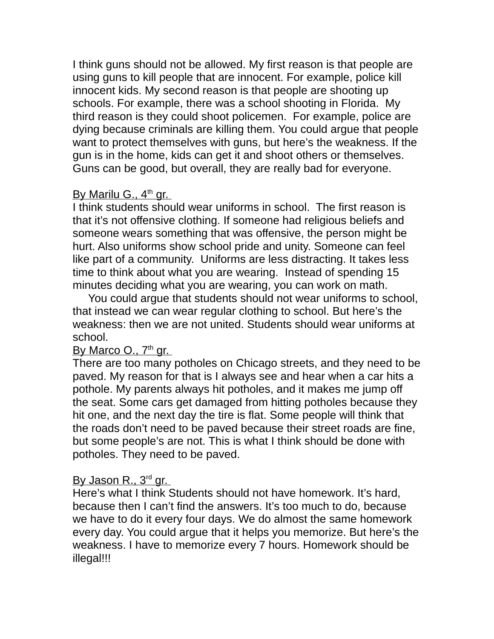I think guns should not be allowed. My first reason is that people are using guns to kill people that are innocent. For example, police kill innocent kids. My second reason is that people are shooting up schools. For example, there was a school shooting in Florida. My third reason is they could shoot policemen. For example, police are dying because criminals are killing them. You could argue that people want to protect themselves with guns, but here's the weakness. If the gun is in the home, kids can get it and shoot others or themselves. Guns can be good, but overall, they are really bad for everyone.

## By Marilu G., 4<sup>th</sup> gr.

I think students should wear uniforms in school. The first reason is that it's not offensive clothing. If someone had religious beliefs and someone wears something that was offensive, the person might be hurt. Also uniforms show school pride and unity. Someone can feel like part of a community. Uniforms are less distracting. It takes less time to think about what you are wearing. Instead of spending 15 minutes deciding what you are wearing, you can work on math.

 You could argue that students should not wear uniforms to school, that instead we can wear regular clothing to school. But here's the weakness: then we are not united. Students should wear uniforms at school.

#### By Marco O., 7<sup>th</sup> gr.

There are too many potholes on Chicago streets, and they need to be paved. My reason for that is I always see and hear when a car hits a pothole. My parents always hit potholes, and it makes me jump off the seat. Some cars get damaged from hitting potholes because they hit one, and the next day the tire is flat. Some people will think that the roads don't need to be paved because their street roads are fine, but some people's are not. This is what I think should be done with potholes. They need to be paved.

#### By Jason R., 3<sup>rd</sup> gr.

Here's what I think Students should not have homework. It's hard, because then I can't find the answers. It's too much to do, because we have to do it every four days. We do almost the same homework every day. You could argue that it helps you memorize. But here's the weakness. I have to memorize every 7 hours. Homework should be illegal!!!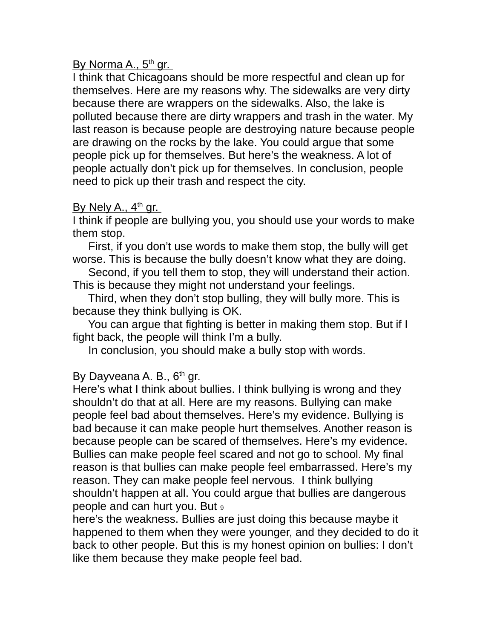## By Norma A., 5<sup>th</sup> gr.

I think that Chicagoans should be more respectful and clean up for themselves. Here are my reasons why. The sidewalks are very dirty because there are wrappers on the sidewalks. Also, the lake is polluted because there are dirty wrappers and trash in the water. My last reason is because people are destroying nature because people are drawing on the rocks by the lake. You could argue that some people pick up for themselves. But here's the weakness. A lot of people actually don't pick up for themselves. In conclusion, people need to pick up their trash and respect the city.

## By Nely A., 4<sup>th</sup> gr.

I think if people are bullying you, you should use your words to make them stop.

 First, if you don't use words to make them stop, the bully will get worse. This is because the bully doesn't know what they are doing.

 Second, if you tell them to stop, they will understand their action. This is because they might not understand your feelings.

 Third, when they don't stop bulling, they will bully more. This is because they think bullying is OK.

 You can argue that fighting is better in making them stop. But if I fight back, the people will think I'm a bully.

In conclusion, you should make a bully stop with words.

# <u>By Dayveana A. B., 6th gr.</u>

Here's what I think about bullies. I think bullying is wrong and they shouldn't do that at all. Here are my reasons. Bullying can make people feel bad about themselves. Here's my evidence. Bullying is bad because it can make people hurt themselves. Another reason is because people can be scared of themselves. Here's my evidence. Bullies can make people feel scared and not go to school. My final reason is that bullies can make people feel embarrassed. Here's my reason. They can make people feel nervous. I think bullying shouldn't happen at all. You could argue that bullies are dangerous people and can hurt you. But <sup>9</sup>

here's the weakness. Bullies are just doing this because maybe it happened to them when they were younger, and they decided to do it back to other people. But this is my honest opinion on bullies: I don't like them because they make people feel bad.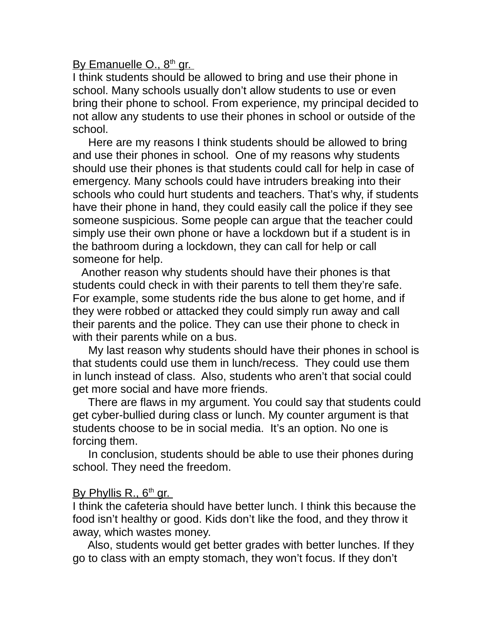By Emanuelle O., 8<sup>th</sup> gr.

I think students should be allowed to bring and use their phone in school. Many schools usually don't allow students to use or even bring their phone to school. From experience, my principal decided to not allow any students to use their phones in school or outside of the school.

 Here are my reasons I think students should be allowed to bring and use their phones in school. One of my reasons why students should use their phones is that students could call for help in case of emergency. Many schools could have intruders breaking into their schools who could hurt students and teachers. That's why, if students have their phone in hand, they could easily call the police if they see someone suspicious. Some people can argue that the teacher could simply use their own phone or have a lockdown but if a student is in the bathroom during a lockdown, they can call for help or call someone for help.

 Another reason why students should have their phones is that students could check in with their parents to tell them they're safe. For example, some students ride the bus alone to get home, and if they were robbed or attacked they could simply run away and call their parents and the police. They can use their phone to check in with their parents while on a bus.

 My last reason why students should have their phones in school is that students could use them in lunch/recess. They could use them in lunch instead of class. Also, students who aren't that social could get more social and have more friends.

 There are flaws in my argument. You could say that students could get cyber-bullied during class or lunch. My counter argument is that students choose to be in social media. It's an option. No one is forcing them.

 In conclusion, students should be able to use their phones during school. They need the freedom.

#### By Phyllis R., 6<sup>th</sup> gr.

I think the cafeteria should have better lunch. I think this because the food isn't healthy or good. Kids don't like the food, and they throw it away, which wastes money.

 Also, students would get better grades with better lunches. If they go to class with an empty stomach, they won't focus. If they don't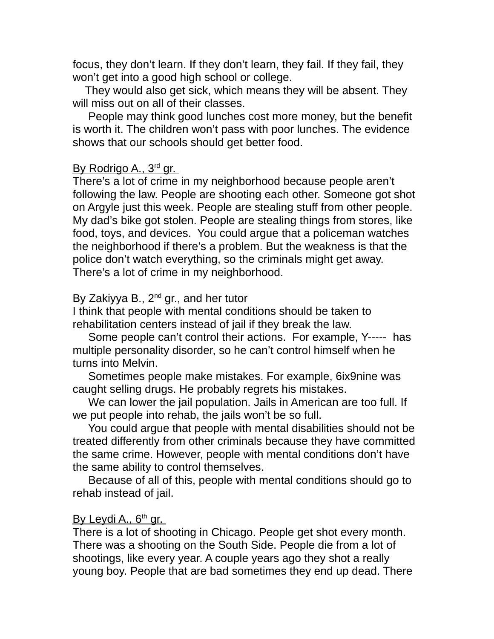focus, they don't learn. If they don't learn, they fail. If they fail, they won't get into a good high school or college.

 They would also get sick, which means they will be absent. They will miss out on all of their classes.

 People may think good lunches cost more money, but the benefit is worth it. The children won't pass with poor lunches. The evidence shows that our schools should get better food.

#### By Rodrigo A., 3<sup>rd</sup> gr.

There's a lot of crime in my neighborhood because people aren't following the law. People are shooting each other. Someone got shot on Argyle just this week. People are stealing stuff from other people. My dad's bike got stolen. People are stealing things from stores, like food, toys, and devices. You could argue that a policeman watches the neighborhood if there's a problem. But the weakness is that the police don't watch everything, so the criminals might get away. There's a lot of crime in my neighborhood.

#### By Zakiyya B.,  $2^{nd}$  gr., and her tutor

I think that people with mental conditions should be taken to rehabilitation centers instead of jail if they break the law.

 Some people can't control their actions. For example, Y----- has multiple personality disorder, so he can't control himself when he turns into Melvin.

 Sometimes people make mistakes. For example, 6ix9nine was caught selling drugs. He probably regrets his mistakes.

 We can lower the jail population. Jails in American are too full. If we put people into rehab, the jails won't be so full.

 You could argue that people with mental disabilities should not be treated differently from other criminals because they have committed the same crime. However, people with mental conditions don't have the same ability to control themselves.

 Because of all of this, people with mental conditions should go to rehab instead of jail.

#### By Leydi A., 6<sup>th</sup> gr.

There is a lot of shooting in Chicago. People get shot every month. There was a shooting on the South Side. People die from a lot of shootings, like every year. A couple years ago they shot a really young boy. People that are bad sometimes they end up dead. There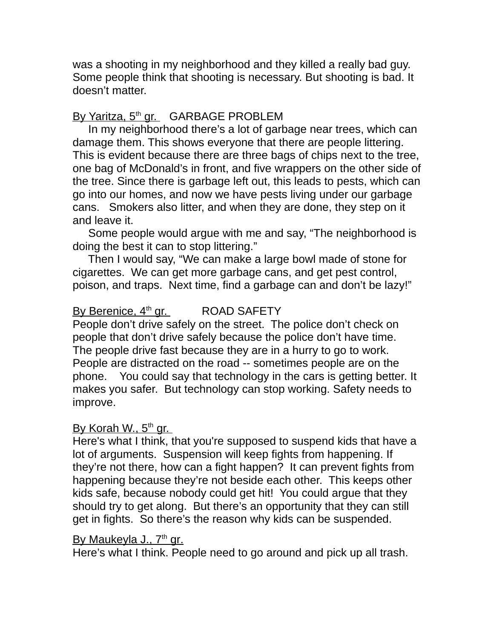was a shooting in my neighborhood and they killed a really bad guy. Some people think that shooting is necessary. But shooting is bad. It doesn't matter.

# By Yaritza, 5<sup>th</sup> gr. GARBAGE PROBLEM

 In my neighborhood there's a lot of garbage near trees, which can damage them. This shows everyone that there are people littering. This is evident because there are three bags of chips next to the tree, one bag of McDonald's in front, and five wrappers on the other side of the tree. Since there is garbage left out, this leads to pests, which can go into our homes, and now we have pests living under our garbage cans. Smokers also litter, and when they are done, they step on it and leave it.

 Some people would argue with me and say, "The neighborhood is doing the best it can to stop littering."

 Then I would say, "We can make a large bowl made of stone for cigarettes. We can get more garbage cans, and get pest control, poison, and traps. Next time, find a garbage can and don't be lazy!"

#### By Berenice,  $4<sup>th</sup>$  gr. ROAD SAFETY

People don't drive safely on the street. The police don't check on people that don't drive safely because the police don't have time. The people drive fast because they are in a hurry to go to work. People are distracted on the road -- sometimes people are on the phone. You could say that technology in the cars is getting better. It makes you safer. But technology can stop working. Safety needs to improve.

#### By Korah W., 5<sup>th</sup> gr.

Here's what I think, that you're supposed to suspend kids that have a lot of arguments. Suspension will keep fights from happening. If they're not there, how can a fight happen? It can prevent fights from happening because they're not beside each other. This keeps other kids safe, because nobody could get hit! You could argue that they should try to get along. But there's an opportunity that they can still get in fights. So there's the reason why kids can be suspended.

#### <u>By Maukeyla J., 7th gr.</u>

Here's what I think. People need to go around and pick up all trash.